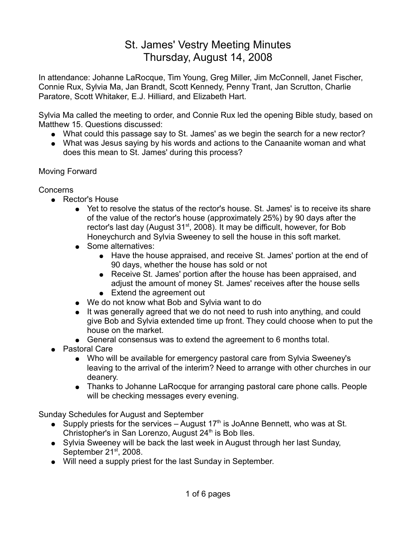# St. James' Vestry Meeting Minutes Thursday, August 14, 2008

In attendance: Johanne LaRocque, Tim Young, Greg Miller, Jim McConnell, Janet Fischer, Connie Rux, Sylvia Ma, Jan Brandt, Scott Kennedy, Penny Trant, Jan Scrutton, Charlie Paratore, Scott Whitaker, E.J. Hilliard, and Elizabeth Hart.

Sylvia Ma called the meeting to order, and Connie Rux led the opening Bible study, based on Matthew 15. Questions discussed:

- What could this passage say to St. James' as we begin the search for a new rector?
- What was Jesus saying by his words and actions to the Canaanite woman and what does this mean to St. James' during this process?

# Moving Forward

# Concerns

- Rector's House
	- Yet to resolve the status of the rector's house. St. James' is to receive its share of the value of the rector's house (approximately 25%) by 90 days after the rector's last day (August 31<sup>st</sup>, 2008). It may be difficult, however, for Bob Honeychurch and Sylvia Sweeney to sell the house in this soft market.
	- Some alternatives:
		- Have the house appraised, and receive St. James' portion at the end of 90 days, whether the house has sold or not
		- Receive St. James' portion after the house has been appraised, and adjust the amount of money St. James' receives after the house sells • Extend the agreement out
	- We do not know what Bob and Sylvia want to do
	- It was generally agreed that we do not need to rush into anything, and could give Bob and Sylvia extended time up front. They could choose when to put the house on the market.
	- General consensus was to extend the agreement to 6 months total.
- Pastoral Care
	- Who will be available for emergency pastoral care from Sylvia Sweeney's leaving to the arrival of the interim? Need to arrange with other churches in our deanery.
	- Thanks to Johanne LaRocque for arranging pastoral care phone calls. People will be checking messages every evening.

Sunday Schedules for August and September

- Supply priests for the services August  $17<sup>th</sup>$  is JoAnne Bennett, who was at St. Christopher's in San Lorenzo, August  $24<sup>th</sup>$  is Bob Iles.
- Sylvia Sweeney will be back the last week in August through her last Sunday, September 21<sup>st</sup>, 2008.
- Will need a supply priest for the last Sunday in September.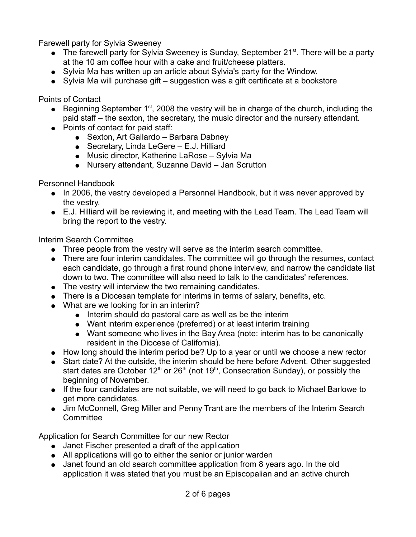Farewell party for Sylvia Sweeney

- The farewell party for Sylvia Sweeney is Sunday, September  $21^{st}$ . There will be a party at the 10 am coffee hour with a cake and fruit/cheese platters.
- Sylvia Ma has written up an article about Sylvia's party for the Window.
- Sylvia Ma will purchase gift suggestion was a gift certificate at a bookstore

Points of Contact

- **•** Beginning September  $1<sup>st</sup>$ , 2008 the vestry will be in charge of the church, including the paid staff – the sexton, the secretary, the music director and the nursery attendant.
- Points of contact for paid staff:
	- Sexton, Art Gallardo Barbara Dabney
	- $\bullet$  Secretary, Linda LeGere E.J. Hilliard
	- Music director, Katherine LaRose Sylvia Ma
	- Nursery attendant, Suzanne David Jan Scrutton

Personnel Handbook

- In 2006, the vestry developed a Personnel Handbook, but it was never approved by the vestry.
- E.J. Hilliard will be reviewing it, and meeting with the Lead Team. The Lead Team will bring the report to the vestry.

Interim Search Committee

- Three people from the vestry will serve as the interim search committee.
- There are four interim candidates. The committee will go through the resumes, contact each candidate, go through a first round phone interview, and narrow the candidate list down to two. The committee will also need to talk to the candidates' references.
- The vestry will interview the two remaining candidates.
- There is a Diocesan template for interims in terms of salary, benefits, etc.
- What are we looking for in an interim?
	- Interim should do pastoral care as well as be the interim
	- Want interim experience (preferred) or at least interim training
	- Want someone who lives in the Bay Area (note: interim has to be canonically resident in the Diocese of California).
- How long should the interim period be? Up to a year or until we choose a new rector
- Start date? At the outside, the interim should be here before Advent. Other suggested start dates are October  $12<sup>th</sup>$  or  $26<sup>th</sup>$  (not  $19<sup>th</sup>$ , Consecration Sunday), or possibly the beginning of November.
- If the four candidates are not suitable, we will need to go back to Michael Barlowe to get more candidates.
- Jim McConnell, Greg Miller and Penny Trant are the members of the Interim Search **Committee**

Application for Search Committee for our new Rector

- Janet Fischer presented a draft of the application
- All applications will go to either the senior or junior warden
- Janet found an old search committee application from 8 years ago. In the old application it was stated that you must be an Episcopalian and an active church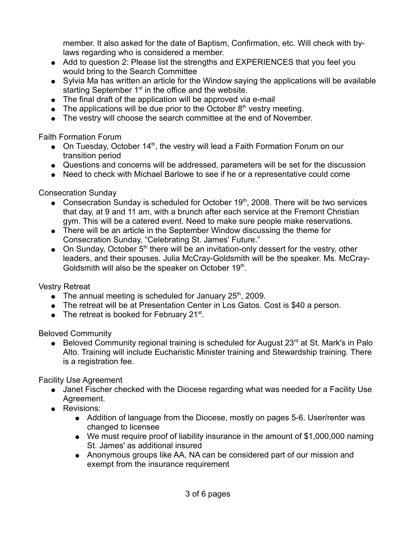member. It also asked for the date of Baptism, Confirmation, etc. Will check with bylaws regarding who is considered a member.

- Add to question 2: Please list the strengths and EXPERIENCES that you feel you would bring to the Search Committee
- Sylvia Ma has written an article for the Window saying the applications will be available starting September  $1<sup>st</sup>$  in the office and the website.
- The final draft of the application will be approved via e-mail
- The applications will be due prior to the October  $8<sup>th</sup>$  vestry meeting.
- The vestry will choose the search committee at the end of November.

Faith Formation Forum

- On Tuesday, October  $14<sup>th</sup>$ , the vestry will lead a Faith Formation Forum on our transition period
- Questions and concerns will be addressed, parameters will be set for the discussion
- Need to check with Michael Barlowe to see if he or a representative could come

Consecration Sunday

- Consecration Sunday is scheduled for October  $19<sup>th</sup>$ , 2008. There will be two services that day, at 9 and 11 am, with a brunch after each service at the Fremont Christian gym. This will be a catered event. Need to make sure people make reservations.
- There will be an article in the September Window discussing the theme for Consecration Sunday, "Celebrating St. James' Future."
- On Sunday, October  $5<sup>th</sup>$  there will be an invitation-only dessert for the vestry, other leaders, and their spouses. Julia McCray-Goldsmith will be the speaker. Ms. McCray-Goldsmith will also be the speaker on October 19th.

Vestry Retreat

- The annual meeting is scheduled for January  $25<sup>th</sup>$ , 2009.
- The retreat will be at Presentation Center in Los Gatos. Cost is \$40 a person.
- The retreat is booked for February  $21^{st}$ .

Beloved Community

■ Beloved Community regional training is scheduled for August  $23<sup>rd</sup>$  at St. Mark's in Palo Alto. Training will include Eucharistic Minister training and Stewardship training. There is a registration fee.

Facility Use Agreement

- Janet Fischer checked with the Diocese regarding what was needed for a Facility Use Agreement.
- Revisions:
	- Addition of language from the Diocese, mostly on pages 5-6. User/renter was changed to licensee
	- We must require proof of liability insurance in the amount of \$1,000,000 naming St. James' as additional insured
	- Anonymous groups like AA, NA can be considered part of our mission and exempt from the insurance requirement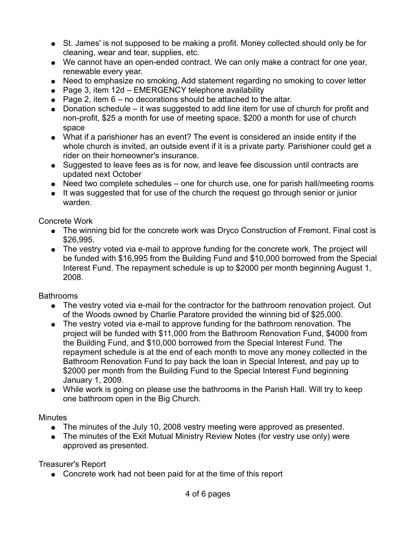- St. James' is not supposed to be making a profit. Money collected should only be for cleaning, wear and tear, supplies, etc.
- We cannot have an open-ended contract. We can only make a contract for one year, renewable every year.
- Need to emphasize no smoking. Add statement regarding no smoking to cover letter
- $\bullet$  Page 3, item 12d EMERGENCY telephone availability
- Page 2, item  $6 no$  decorations should be attached to the altar.
- Donation schedule it was suggested to add line item for use of church for profit and non-profit, \$25 a month for use of meeting space, \$200 a month for use of church space
- What if a parishioner has an event? The event is considered an inside entity if the whole church is invited, an outside event if it is a private party. Parishioner could get a rider on their homeowner's insurance.
- Suggested to leave fees as is for now, and leave fee discussion until contracts are updated next October
- Need two complete schedules one for church use, one for parish hall/meeting rooms
- It was suggested that for use of the church the request go through senior or junior warden.

#### Concrete Work

- The winning bid for the concrete work was Dryco Construction of Fremont. Final cost is \$26,995.
- The vestry voted via e-mail to approve funding for the concrete work. The project will be funded with \$16,995 from the Building Fund and \$10,000 borrowed from the Special Interest Fund. The repayment schedule is up to \$2000 per month beginning August 1, 2008.

# Bathrooms

- The vestry voted via e-mail for the contractor for the bathroom renovation project. Out of the Woods owned by Charlie Paratore provided the winning bid of \$25,000.
- The vestry voted via e-mail to approve funding for the bathroom renovation. The project will be funded with \$11,000 from the Bathroom Renovation Fund, \$4000 from the Building Fund, and \$10,000 borrowed from the Special Interest Fund. The repayment schedule is at the end of each month to move any money collected in the Bathroom Renovation Fund to pay back the loan in Special Interest, and pay up to \$2000 per month from the Building Fund to the Special Interest Fund beginning January 1, 2009.
- While work is going on please use the bathrooms in the Parish Hall. Will try to keep one bathroom open in the Big Church.

#### **Minutes**

- The minutes of the July 10, 2008 vestry meeting were approved as presented.
- The minutes of the Exit Mutual Ministry Review Notes (for vestry use only) were approved as presented.

Treasurer's Report

• Concrete work had not been paid for at the time of this report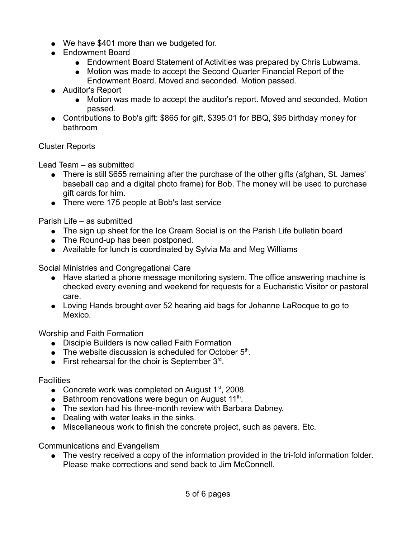- We have \$401 more than we budgeted for.
- Endowment Board
	- Endowment Board Statement of Activities was prepared by Chris Lubwama.
	- Motion was made to accept the Second Quarter Financial Report of the Endowment Board. Moved and seconded. Motion passed.
- Auditor's Report
	- Motion was made to accept the auditor's report. Moved and seconded. Motion passed.
- Contributions to Bob's gift: \$865 for gift, \$395.01 for BBQ, \$95 birthday money for bathroom

# Cluster Reports

Lead Team – as submitted

- There is still \$655 remaining after the purchase of the other gifts (afghan, St. James' baseball cap and a digital photo frame) for Bob. The money will be used to purchase gift cards for him.
- There were 175 people at Bob's last service

Parish Life – as submitted

- The sign up sheet for the Ice Cream Social is on the Parish Life bulletin board
- The Round-up has been postponed.
- Available for lunch is coordinated by Sylvia Ma and Meg Williams

Social Ministries and Congregational Care

- Have started a phone message monitoring system. The office answering machine is checked every evening and weekend for requests for a Eucharistic Visitor or pastoral care.
- Loving Hands brought over 52 hearing aid bags for Johanne LaRocque to go to Mexico.

Worship and Faith Formation

- Disciple Builders is now called Faith Formation
- $\bullet$  The website discussion is scheduled for October  $5<sup>th</sup>$ .
- $\bullet$  First rehearsal for the choir is September  $3^{rd}$ .

**Facilities** 

- Concrete work was completed on August  $1<sup>st</sup>$ , 2008.
- $\bullet$  Bathroom renovations were begun on August 11<sup>th</sup>.
- The sexton had his three-month review with Barbara Dabney.
- Dealing with water leaks in the sinks.
- Miscellaneous work to finish the concrete project, such as pavers. Etc.

Communications and Evangelism

● The vestry received a copy of the information provided in the tri-fold information folder. Please make corrections and send back to Jim McConnell.